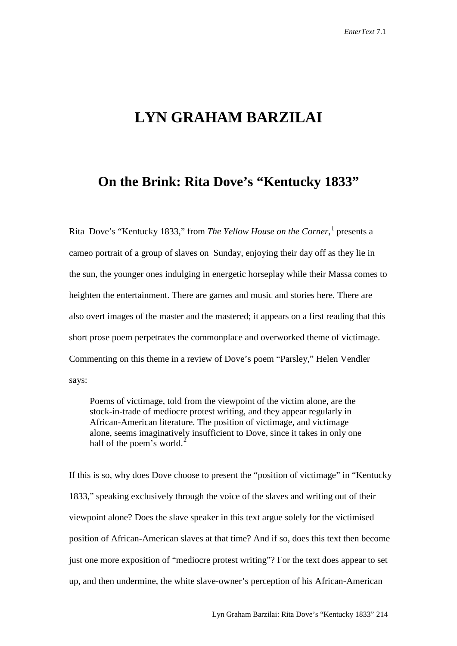## **LYN GRAHAM BARZILAI**

## **On the Brink: Rita Dove's "Kentucky 1833"**

Rita Dove's "Kentucky 1833," from *The Yellow House on the Corner*, [1](#page-4-0) presents a cameo portrait of a group of slaves on Sunday, enjoying their day off as they lie in the sun, the younger ones indulging in energetic horseplay while their Massa comes to heighten the entertainment. There are games and music and stories here. There are also overt images of the master and the mastered; it appears on a first reading that this short prose poem perpetrates the commonplace and overworked theme of victimage. Commenting on this theme in a review of Dove's poem "Parsley," Helen Vendler says:

Poems of victimage, told from the viewpoint of the victim alone, are the stock-in-trade of mediocre protest writing, and they appear regularly in African-American literature. The position of victimage, and victimage alone, seems imaginatively insufficient to Dove, since it takes in only one half of the poem's world.<sup>[2](#page-4-1)</sup>

If this is so, why does Dove choose to present the "position of victimage" in "Kentucky 1833," speaking exclusively through the voice of the slaves and writing out of their viewpoint alone? Does the slave speaker in this text argue solely for the victimised position of African-American slaves at that time? And if so, does this text then become just one more exposition of "mediocre protest writing"? For the text does appear to set up, and then undermine, the white slave-owner's perception of his African-American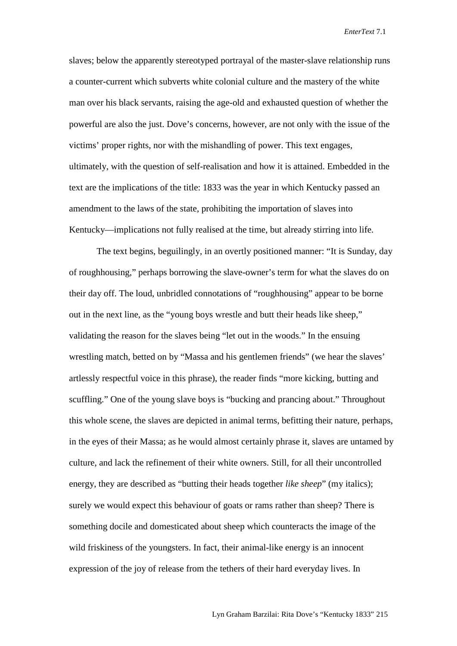*EnterText* 7.1

slaves; below the apparently stereotyped portrayal of the master-slave relationship runs a counter-current which subverts white colonial culture and the mastery of the white man over his black servants, raising the age-old and exhausted question of whether the powerful are also the just. Dove's concerns, however, are not only with the issue of the victims' proper rights, nor with the mishandling of power. This text engages, ultimately, with the question of self-realisation and how it is attained. Embedded in the text are the implications of the title: 1833 was the year in which Kentucky passed an amendment to the laws of the state, prohibiting the importation of slaves into Kentucky—implications not fully realised at the time, but already stirring into life.

The text begins, beguilingly, in an overtly positioned manner: "It is Sunday, day of roughhousing," perhaps borrowing the slave-owner's term for what the slaves do on their day off. The loud, unbridled connotations of "roughhousing" appear to be borne out in the next line, as the "young boys wrestle and butt their heads like sheep," validating the reason for the slaves being "let out in the woods." In the ensuing wrestling match, betted on by "Massa and his gentlemen friends" (we hear the slaves' artlessly respectful voice in this phrase), the reader finds "more kicking, butting and scuffling." One of the young slave boys is "bucking and prancing about." Throughout this whole scene, the slaves are depicted in animal terms, befitting their nature, perhaps, in the eyes of their Massa; as he would almost certainly phrase it, slaves are untamed by culture, and lack the refinement of their white owners. Still, for all their uncontrolled energy, they are described as "butting their heads together *like sheep*" (my italics); surely we would expect this behaviour of goats or rams rather than sheep? There is something docile and domesticated about sheep which counteracts the image of the wild friskiness of the youngsters. In fact, their animal-like energy is an innocent expression of the joy of release from the tethers of their hard everyday lives. In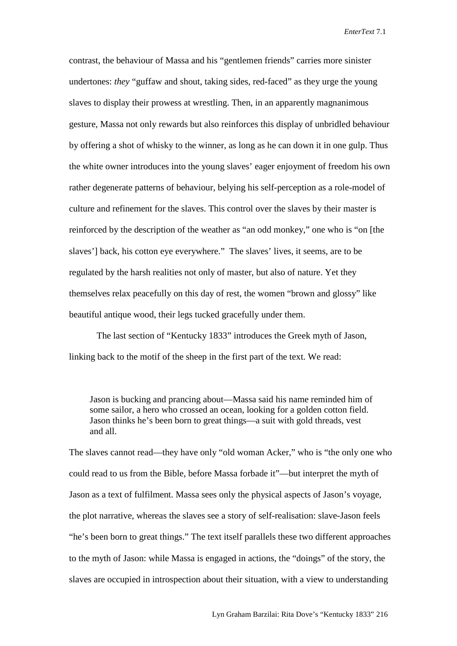*EnterText* 7.1

contrast, the behaviour of Massa and his "gentlemen friends" carries more sinister undertones: *they* "guffaw and shout, taking sides, red-faced" as they urge the young slaves to display their prowess at wrestling. Then, in an apparently magnanimous gesture, Massa not only rewards but also reinforces this display of unbridled behaviour by offering a shot of whisky to the winner, as long as he can down it in one gulp. Thus the white owner introduces into the young slaves' eager enjoyment of freedom his own rather degenerate patterns of behaviour, belying his self-perception as a role-model of culture and refinement for the slaves. This control over the slaves by their master is reinforced by the description of the weather as "an odd monkey," one who is "on [the slaves'] back, his cotton eye everywhere." The slaves' lives, it seems, are to be regulated by the harsh realities not only of master, but also of nature. Yet they themselves relax peacefully on this day of rest, the women "brown and glossy" like beautiful antique wood, their legs tucked gracefully under them.

The last section of "Kentucky 1833" introduces the Greek myth of Jason, linking back to the motif of the sheep in the first part of the text. We read:

Jason is bucking and prancing about—Massa said his name reminded him of some sailor, a hero who crossed an ocean, looking for a golden cotton field. Jason thinks he's been born to great things—a suit with gold threads, vest and all.

The slaves cannot read—they have only "old woman Acker," who is "the only one who could read to us from the Bible, before Massa forbade it"—but interpret the myth of Jason as a text of fulfilment. Massa sees only the physical aspects of Jason's voyage, the plot narrative, whereas the slaves see a story of self-realisation: slave-Jason feels "he's been born to great things." The text itself parallels these two different approaches to the myth of Jason: while Massa is engaged in actions, the "doings" of the story, the slaves are occupied in introspection about their situation, with a view to understanding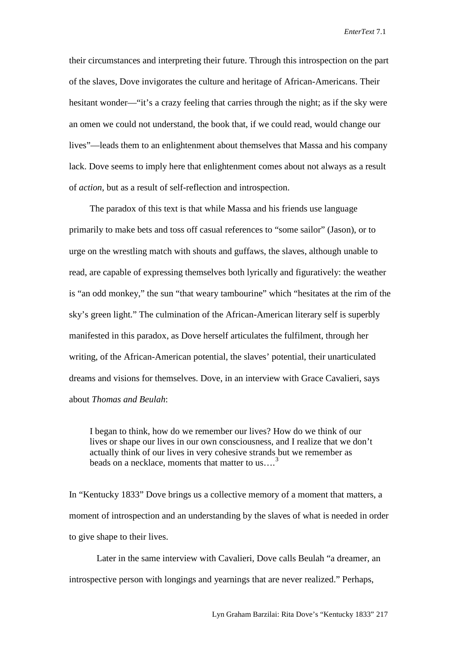their circumstances and interpreting their future. Through this introspection on the part of the slaves, Dove invigorates the culture and heritage of African-Americans. Their hesitant wonder—"it's a crazy feeling that carries through the night; as if the sky were an omen we could not understand, the book that, if we could read, would change our lives"—leads them to an enlightenment about themselves that Massa and his company lack. Dove seems to imply here that enlightenment comes about not always as a result of *action*, but as a result of self-reflection and introspection.

The paradox of this text is that while Massa and his friends use language primarily to make bets and toss off casual references to "some sailor" (Jason), or to urge on the wrestling match with shouts and guffaws, the slaves, although unable to read, are capable of expressing themselves both lyrically and figuratively: the weather is "an odd monkey," the sun "that weary tambourine" which "hesitates at the rim of the sky's green light." The culmination of the African-American literary self is superbly manifested in this paradox, as Dove herself articulates the fulfilment, through her writing, of the African-American potential, the slaves' potential, their unarticulated dreams and visions for themselves. Dove, in an interview with Grace Cavalieri, says about *Thomas and Beulah*:

I began to think, how do we remember our lives? How do we think of our lives or shape our lives in our own consciousness, and I realize that we don't actually think of our lives in very cohesive strands but we remember as beads on a necklace, moments that matter to us....<sup>[3](#page-4-2)</sup>

In "Kentucky 1833" Dove brings us a collective memory of a moment that matters, a moment of introspection and an understanding by the slaves of what is needed in order to give shape to their lives.

Later in the same interview with Cavalieri, Dove calls Beulah "a dreamer, an introspective person with longings and yearnings that are never realized." Perhaps,